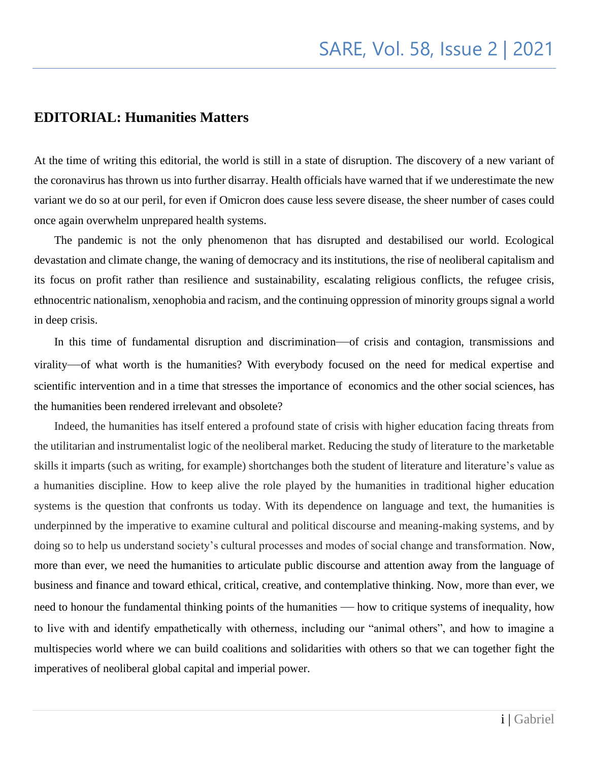## **EDITORIAL: Humanities Matters**

At the time of writing this editorial, the world is still in a state of disruption. The discovery of a new variant of the coronavirus has thrown us into further disarray. Health officials have warned that if we underestimate the new variant we do so at our peril, for even if Omicron does cause less severe disease, the sheer number of cases could once again overwhelm unprepared health systems.

 The pandemic is not the only phenomenon that has disrupted and destabilised our world. Ecological devastation and climate change, the waning of democracy and its institutions, the rise of neoliberal capitalism and its focus on profit rather than resilience and sustainability, escalating religious conflicts, the refugee crisis, ethnocentric nationalism, xenophobia and racism, and the continuing oppression of minority groups signal a world in deep crisis.

 In this time of fundamental disruption and discrimination—of crisis and contagion, transmissions and virality—of what worth is the humanities? With everybody focused on the need for medical expertise and scientific intervention and in a time that stresses the importance of economics and the other social sciences, has the humanities been rendered irrelevant and obsolete?

 Indeed, the humanities has itself entered a profound state of crisis with higher education facing threats from the utilitarian and instrumentalist logic of the neoliberal market. Reducing the study of literature to the marketable skills it imparts (such as writing, for example) shortchanges both the student of literature and literature's value as a humanities discipline. How to keep alive the role played by the humanities in traditional higher education systems is the question that confronts us today. With its dependence on language and text, the humanities is underpinned by the imperative to examine cultural and political discourse and meaning-making systems, and by doing so to help us understand society's cultural processes and modes of social change and transformation. Now, more than ever, we need the humanities to articulate public discourse and attention away from the language of business and finance and toward ethical, critical, creative, and contemplative thinking. Now, more than ever, we need to honour the fundamental thinking points of the humanities — how to critique systems of inequality, how to live with and identify empathetically with otherness, including our "animal others", and how to imagine a multispecies world where we can build coalitions and solidarities with others so that we can together fight the imperatives of neoliberal global capital and imperial power.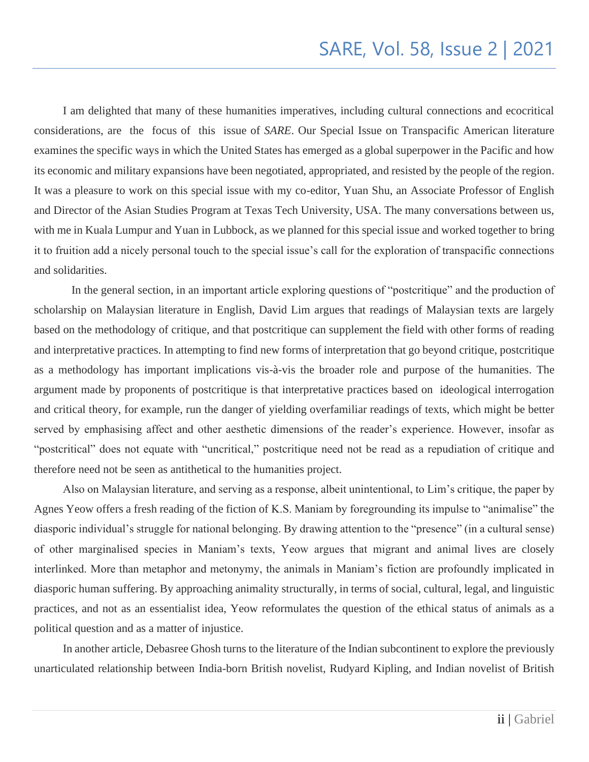I am delighted that many of these humanities imperatives, including cultural connections and ecocritical considerations, are the focus of this issue of *SARE*. Our Special Issue on Transpacific American literature examines the specific ways in which the United States has emerged as a global superpower in the Pacific and how its economic and military expansions have been negotiated, appropriated, and resisted by the people of the region. It was a pleasure to work on this special issue with my co-editor, Yuan Shu, an Associate Professor of English and Director of the Asian Studies Program at Texas Tech University, USA. The many conversations between us, with me in Kuala Lumpur and Yuan in Lubbock, as we planned for this special issue and worked together to bring it to fruition add a nicely personal touch to the special issue's call for the exploration of transpacific connections and solidarities.

 In the general section, in an important article exploring questions of "postcritique" and the production of scholarship on Malaysian literature in English, David Lim argues that readings of Malaysian texts are largely based on the methodology of critique, and that postcritique can supplement the field with other forms of reading and interpretative practices. In attempting to find new forms of interpretation that go beyond critique, postcritique as a methodology has important implications vis-à-vis the broader role and purpose of the [humanities.](https://en.wikipedia.org/wiki/Humanities) The argument made by proponents of postcritique is that interpretative practices based on ideological interrogation and critical theory, for example, run the danger of yielding overfamiliar readings of texts, which might be better served by emphasising affect and other aesthetic dimensions of the reader's experience. However, insofar as "postcritical" does not equate with "uncritical," postcritique need not be read as a repudiation of critique and therefore need not be seen as antithetical to the humanities project.

 Also on Malaysian literature, and serving as a response, albeit unintentional, to Lim's critique, the paper by Agnes Yeow offers a fresh reading of the fiction of K.S. Maniam by foregrounding its impulse to "animalise" the diasporic individual's struggle for national belonging. By drawing attention to the "presence" (in a cultural sense) of other marginalised species in Maniam's texts, Yeow argues that migrant and animal lives are closely interlinked. More than metaphor and metonymy, the animals in Maniam's fiction are profoundly implicated in diasporic human suffering. By approaching animality structurally, in terms of social, cultural, legal, and linguistic practices, and not as an essentialist idea, Yeow reformulates the question of the ethical status of animals as a political question and as a matter of injustice.

 In another article, Debasree Ghosh turns to the literature of the Indian subcontinent to explore the previously unarticulated relationship between India-born British novelist, Rudyard Kipling, and Indian novelist of British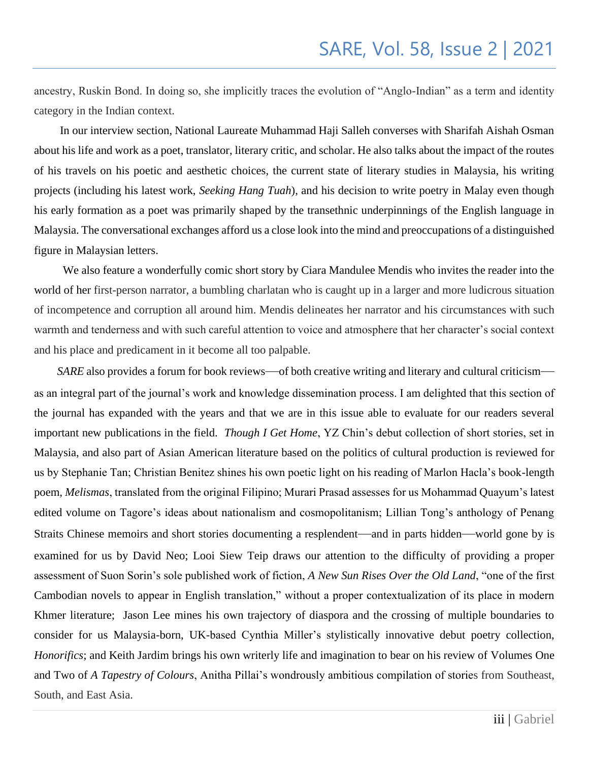ancestry, Ruskin Bond. In doing so, she implicitly traces the evolution of "Anglo-Indian" as a term and identity category in the Indian context.

 In our interview section, National Laureate Muhammad Haji Salleh converses with Sharifah Aishah Osman about his life and work as a poet, translator, literary critic, and scholar. He also talks about the impact of the routes of his travels on his poetic and aesthetic choices, the current state of literary studies in Malaysia, his writing projects (including his latest work, *Seeking Hang Tuah*), and his decision to write poetry in Malay even though his early formation as a poet was primarily shaped by the transethnic underpinnings of the English language in Malaysia. The conversational exchanges afford us a close look into the mind and preoccupations of a distinguished figure in Malaysian letters.

 We also feature a wonderfully comic short story by Ciara Mandulee Mendis who invites the reader into the world of her first-person narrator, a bumbling charlatan who is caught up in a larger and more ludicrous situation of incompetence and corruption all around him. Mendis delineates her narrator and his circumstances with such warmth and tenderness and with such careful attention to voice and atmosphere that her character's social context and his place and predicament in it become all too palpable.

*SARE* also provides a forum for book reviews—of both creative writing and literary and cultural criticism as an integral part of the journal's work and knowledge dissemination process. I am delighted that this section of the journal has expanded with the years and that we are in this issue able to evaluate for our readers several important new publications in the field. *Though I Get Home*, YZ Chin's debut collection of short stories, set in Malaysia, and also part of Asian American literature based on the politics of cultural production is reviewed for us by Stephanie Tan; Christian Benitez shines his own poetic light on his reading of Marlon Hacla's book-length poem, *Melismas*, translated from the original Filipino; Murari Prasad assesses for us Mohammad Quayum's latest edited volume on Tagore's ideas about nationalism and cosmopolitanism; Lillian Tong's anthology of Penang Straits Chinese memoirs and short stories documenting a resplendent—and in parts hidden—world gone by is examined for us by David Neo; Looi Siew Teip draws our attention to the difficulty of providing a proper assessment of Suon Sorin's sole published work of fiction, *A New Sun Rises Over the Old Land*, "one of the first Cambodian novels to appear in English translation," without a proper contextualization of its place in modern Khmer literature; Jason Lee mines his own trajectory of diaspora and the crossing of multiple boundaries to consider for us Malaysia-born, UK-based Cynthia Miller's stylistically innovative debut poetry collection, *Honorifics*; and Keith Jardim brings his own writerly life and imagination to bear on his review of Volumes One and Two of *A Tapestry of Colours*, Anitha Pillai's wondrously ambitious compilation of stories from Southeast, South, and East Asia.